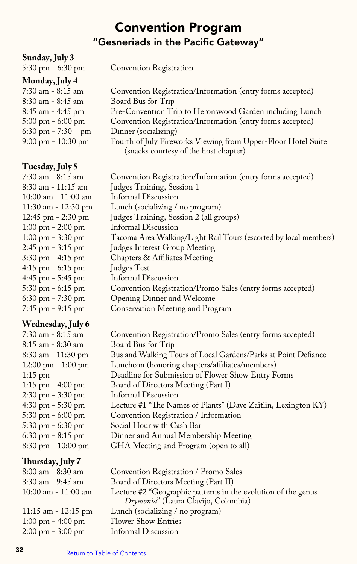# Convention Program "Gesneriads in the Pacific Gateway"

| Sunday, July 3                      |                                                                                                        |
|-------------------------------------|--------------------------------------------------------------------------------------------------------|
| $5:30$ pm $-6:30$ pm                | Convention Registration                                                                                |
| Monday, July 4                      |                                                                                                        |
| 7:30 am - 8:15 am                   | Convention Registration/Information (entry forms accepted)                                             |
| 8:30 am - 8:45 am                   | Board Bus for Trip                                                                                     |
| 8:45 am - 4:45 pm                   | Pre-Convention Trip to Heronswood Garden including Lunch                                               |
| 5:00 pm - 6:00 pm                   | Convention Registration/Information (entry forms accepted)                                             |
| $6:30$ pm - $7:30 +$ pm             | Dinner (socializing)                                                                                   |
| 9:00 pm - 10:30 pm                  | Fourth of July Fireworks Viewing from Upper-Floor Hotel Suite<br>(snacks courtesy of the host chapter) |
| Tuesday, July 5                     |                                                                                                        |
| 7:30 am - 8:15 am                   | Convention Registration/Information (entry forms accepted)                                             |
| 8:30 am - 11:15 am                  | Judges Training, Session 1                                                                             |
| 10:00 am - 11:00 am                 | <b>Informal Discussion</b>                                                                             |
| 11:30 am - 12:30 pm                 | Lunch (socializing / no program)                                                                       |
| 12:45 pm - 2:30 pm                  | Judges Training, Session 2 (all groups)                                                                |
| $1:00 \text{ pm} - 2:00 \text{ pm}$ | <b>Informal Discussion</b>                                                                             |
| 1:00 pm - 3:30 pm                   | Tacoma Area Walking/Light Rail Tours (escorted by local members)                                       |
| 2:45 pm - 3:15 pm                   | Judges Interest Group Meeting                                                                          |
| 3:30 pm - 4:15 pm                   | Chapters & Affiliates Meeting                                                                          |
| 4:15 pm - 6:15 pm                   | Judges Test                                                                                            |
| 4:45 pm - 5:45 pm                   | Informal Discussion                                                                                    |
| 5:30 pm - 6:15 pm                   | Convention Registration/Promo Sales (entry forms accepted)                                             |
| $6:30$ pm $-7:30$ pm                | Opening Dinner and Welcome                                                                             |
| 7:45 pm - 9:15 pm                   | Conservation Meeting and Program                                                                       |
| Wednesday, July 6                   |                                                                                                        |
| 7:30 am - 8:15 am                   | Convention Registration/Promo Sales (entry forms accepted)                                             |
| 8:15 am - 8:30 am                   | Board Bus for Trip                                                                                     |
| 8:30 am - 11:30 pm                  | Bus and Walking Tours of Local Gardens/Parks at Point Defiance                                         |
| 12:00 pm - 1:00 pm                  | Luncheon (honoring chapters/affiliates/members)                                                        |
| $1:15$ pm                           | Deadline for Submission of Flower Show Entry Forms                                                     |
| 1:15 pm - 4:00 pm                   | Board of Directors Meeting (Part I)                                                                    |
| $2:30 \text{ pm} - 3:30 \text{ pm}$ | Informal Discussion                                                                                    |
| 4:30 pm - 5:30 pm                   | Lecture #1 "The Names of Plants" (Dave Zaitlin, Lexington KY)                                          |

- 5:30 pm 6:00 pm Convention Registration / Information
- 5:30 pm 6:30 pm Social Hour with Cash Bar
- 6:30 pm 8:15 pm Dinner and Annual Membership Meeting
	- GHA Meeting and Program (open to all)

## **Thursday, July 7**

| $\overline{\phantom{a}}$            |                                                               |
|-------------------------------------|---------------------------------------------------------------|
| $8:00$ am - $8:30$ am               | Convention Registration / Promo Sales                         |
| $8:30$ am - 9:45 am                 | Board of Directors Meeting (Part II)                          |
| $10:00$ am - $11:00$ am             | Lecture #2 "Geographic patterns in the evolution of the genus |
|                                     | Drymonia" (Laura Clavijo, Colombia)                           |
| 11:15 am $-$ 12:15 pm               | Lunch (socializing / no program)                              |
| $1:00 \text{ pm} - 4:00 \text{ pm}$ | <b>Flower Show Entries</b>                                    |
| $2:00 \text{ pm} - 3:00 \text{ pm}$ | Informal Discussion                                           |
|                                     |                                                               |